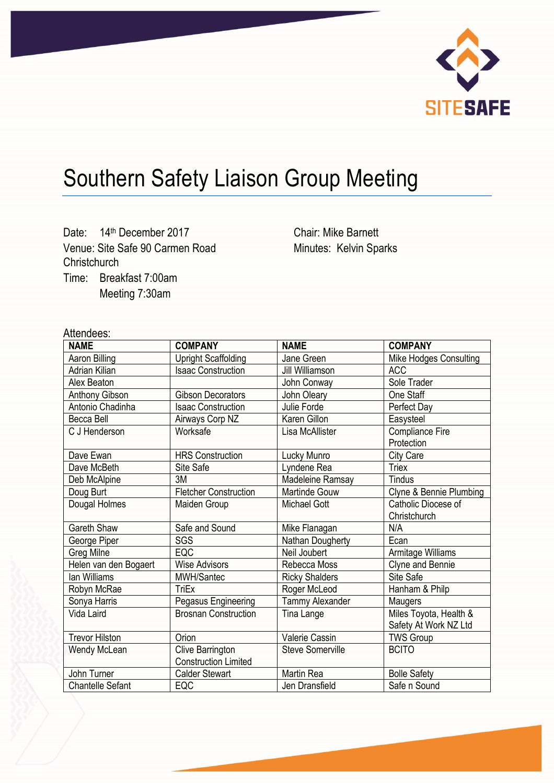

# Southern Safety Liaison Group Meeting

Date: 14<sup>th</sup> December 2017 Venue: Site Safe 90 Carmen Road **Christchurch** Time: Breakfast 7:00am Meeting 7:30am

Chair: Mike Barnett Minutes: Kelvin Sparks

# Attendees:

| <b>NAME</b>             | <b>COMPANY</b>               | <b>NAME</b>             | <b>COMPANY</b>          |
|-------------------------|------------------------------|-------------------------|-------------------------|
| Aaron Billing           | <b>Upright Scaffolding</b>   | Jane Green              | Mike Hodges Consulting  |
| Adrian Kilian           | <b>Isaac Construction</b>    | Jill Williamson         | <b>ACC</b>              |
| Alex Beaton             |                              | John Conway             | Sole Trader             |
| Anthony Gibson          | <b>Gibson Decorators</b>     | John Oleary             | One Staff               |
| Antonio Chadinha        | <b>Isaac Construction</b>    | Julie Forde             | Perfect Day             |
| Becca Bell              | Airways Corp NZ              | Karen Gillon            | Easysteel               |
| C J Henderson           | Worksafe                     | Lisa McAllister         | <b>Compliance Fire</b>  |
|                         |                              |                         | Protection              |
| Dave Ewan               | <b>HRS Construction</b>      | Lucky Munro             | City Care               |
| Dave McBeth             | Site Safe                    | Lyndene Rea             | <b>Triex</b>            |
| Deb McAlpine            | 3M                           | Madeleine Ramsay        | <b>Tindus</b>           |
| Doug Burt               | <b>Fletcher Construction</b> | <b>Martinde Gouw</b>    | Clyne & Bennie Plumbing |
| Dougal Holmes           | Maiden Group                 | <b>Michael Gott</b>     | Catholic Diocese of     |
|                         |                              |                         | Christchurch            |
| <b>Gareth Shaw</b>      | Safe and Sound               | Mike Flanagan           | N/A                     |
| George Piper            | SGS                          | Nathan Dougherty        | Ecan                    |
| Greg Milne              | EQC                          | Neil Joubert            | Armitage Williams       |
| Helen van den Bogaert   | <b>Wise Advisors</b>         | Rebecca Moss            | Clyne and Bennie        |
| lan Williams            | <b>MWH/Santec</b>            | <b>Ricky Shalders</b>   | Site Safe               |
| Robyn McRae             | TriEx                        | Roger McLeod            | Hanham & Philp          |
| Sonya Harris            | Pegasus Engineering          | <b>Tammy Alexander</b>  | Maugers                 |
| Vida Laird              | <b>Brosnan Construction</b>  | Tina Lange              | Miles Toyota, Health &  |
|                         |                              |                         | Safety At Work NZ Ltd   |
| <b>Trevor Hilston</b>   | Orion                        | <b>Valerie Cassin</b>   | <b>TWS Group</b>        |
| Wendy McLean            | Clive Barrington             | <b>Steve Somerville</b> | <b>BCITO</b>            |
|                         | <b>Construction Limited</b>  |                         |                         |
| John Turner             | <b>Calder Stewart</b>        | <b>Martin Rea</b>       | <b>Bolle Safety</b>     |
| <b>Chantelle Sefant</b> | EQC                          | Jen Dransfield          | Safe n Sound            |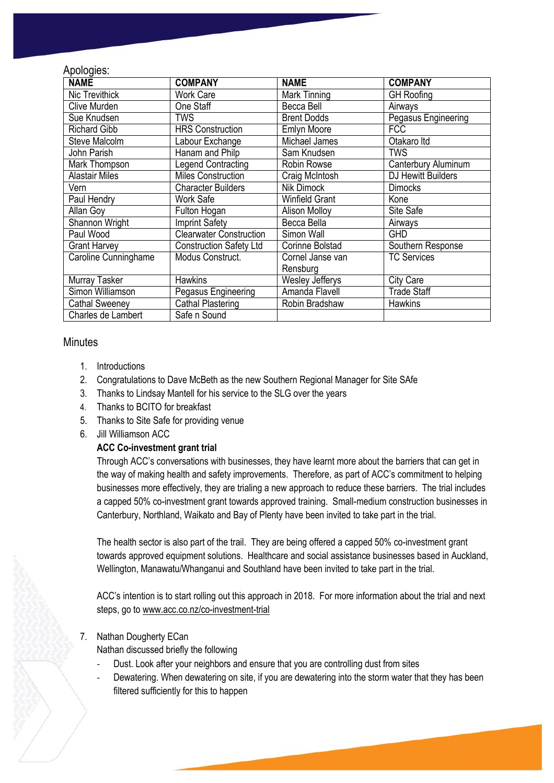## Apologies:

| <b>NAME</b>           | <b>COMPANY</b>                 | <b>NAME</b>            | <b>COMPANY</b>      |
|-----------------------|--------------------------------|------------------------|---------------------|
| Nic Trevithick        | <b>Work Care</b>               | Mark Tinning           | <b>GH</b> Roofing   |
| Clive Murden          | One Staff                      | Becca Bell             | Airways             |
| Sue Knudsen           | TWS                            | <b>Brent Dodds</b>     | Pegasus Engineering |
| <b>Richard Gibb</b>   | <b>HRS Construction</b>        | <b>Emlyn Moore</b>     | <b>FCC</b>          |
| <b>Steve Malcolm</b>  | Labour Exchange                | Michael James          | Otakaro Itd         |
| John Parish           | Hanam and Philp                | Sam Knudsen            | <b>TWS</b>          |
| Mark Thompson         | <b>Legend Contracting</b>      | Robin Rowse            | Canterbury Aluminum |
| <b>Alastair Miles</b> | <b>Miles Construction</b>      | Craig McIntosh         | DJ Hewitt Builders  |
| Vern                  | <b>Character Builders</b>      | Nik Dimock             | <b>Dimocks</b>      |
| Paul Hendry           | Work Safe                      | <b>Winfield Grant</b>  | Kone                |
| <b>Allan Goy</b>      | Fulton Hogan                   | <b>Alison Molloy</b>   | Site Safe           |
| Shannon Wright        | <b>Imprint Safety</b>          | Becca Bella            | Airways             |
| Paul Wood             | <b>Clearwater Construction</b> | Simon Wall             | <b>GHD</b>          |
| <b>Grant Harvey</b>   | <b>Construction Safety Ltd</b> | <b>Corinne Bolstad</b> | Southern Response   |
| Caroline Cunninghame  | Modus Construct.               | Cornel Janse van       | <b>TC Services</b>  |
|                       |                                | Rensburg               |                     |
| Murray Tasker         | <b>Hawkins</b>                 | <b>Wesley Jefferys</b> | City Care           |
| Simon Williamson      | Pegasus Engineering            | Amanda Flavell         | <b>Trade Staff</b>  |
| <b>Cathal Sweeney</b> | Cathal Plastering              | Robin Bradshaw         | <b>Hawkins</b>      |
| Charles de Lambert    | Safe n Sound                   |                        |                     |

## **Minutes**

- 1. Introductions
- 2. Congratulations to Dave McBeth as the new Southern Regional Manager for Site SAfe
- 3. Thanks to Lindsay Mantell for his service to the SLG over the years
- 4. Thanks to BCITO for breakfast
- 5. Thanks to Site Safe for providing venue
- 6. Jill Williamson ACC

#### **ACC Co-investment grant trial**

Through ACC's conversations with businesses, they have learnt more about the barriers that can get in the way of making health and safety improvements. Therefore, as part of ACC's commitment to helping businesses more effectively, they are trialing a new approach to reduce these barriers. The trial includes a capped 50% co-investment grant towards approved training. Small-medium construction businesses in Canterbury, Northland, Waikato and Bay of Plenty have been invited to take part in the trial.

The health sector is also part of the trail. They are being offered a capped 50% co-investment grant towards approved equipment solutions. Healthcare and social assistance businesses based in Auckland, Wellington, Manawatu/Whanganui and Southland have been invited to take part in the trial.

ACC's intention is to start rolling out this approach in 2018. For more information about the trial and next steps, go to [www.acc.co.nz/co-investment-trial](http://www.acc.co.nz/co-investment-trial)

#### 7. Nathan Dougherty ECan

Nathan discussed briefly the following

- Dust. Look after your neighbors and ensure that you are controlling dust from sites
- Dewatering. When dewatering on site, if you are dewatering into the storm water that they has been filtered sufficiently for this to happen